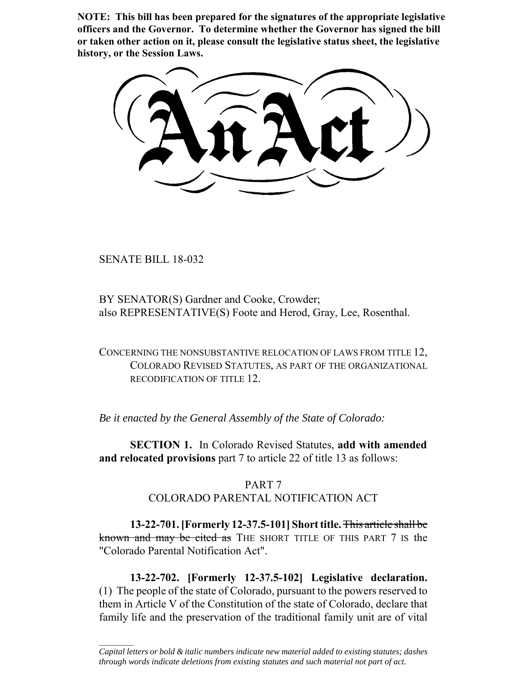**NOTE: This bill has been prepared for the signatures of the appropriate legislative officers and the Governor. To determine whether the Governor has signed the bill or taken other action on it, please consult the legislative status sheet, the legislative history, or the Session Laws.**

SENATE BILL 18-032

 $\frac{1}{2}$ 

BY SENATOR(S) Gardner and Cooke, Crowder; also REPRESENTATIVE(S) Foote and Herod, Gray, Lee, Rosenthal.

CONCERNING THE NONSUBSTANTIVE RELOCATION OF LAWS FROM TITLE 12, COLORADO REVISED STATUTES, AS PART OF THE ORGANIZATIONAL RECODIFICATION OF TITLE 12.

*Be it enacted by the General Assembly of the State of Colorado:*

**SECTION 1.** In Colorado Revised Statutes, **add with amended and relocated provisions** part 7 to article 22 of title 13 as follows:

# PART 7 COLORADO PARENTAL NOTIFICATION ACT

**13-22-701. [Formerly 12-37.5-101] Short title.** This article shall be known and may be cited as THE SHORT TITLE OF THIS PART 7 IS the "Colorado Parental Notification Act".

**13-22-702. [Formerly 12-37.5-102] Legislative declaration.** (1) The people of the state of Colorado, pursuant to the powers reserved to them in Article V of the Constitution of the state of Colorado, declare that family life and the preservation of the traditional family unit are of vital

*Capital letters or bold & italic numbers indicate new material added to existing statutes; dashes through words indicate deletions from existing statutes and such material not part of act.*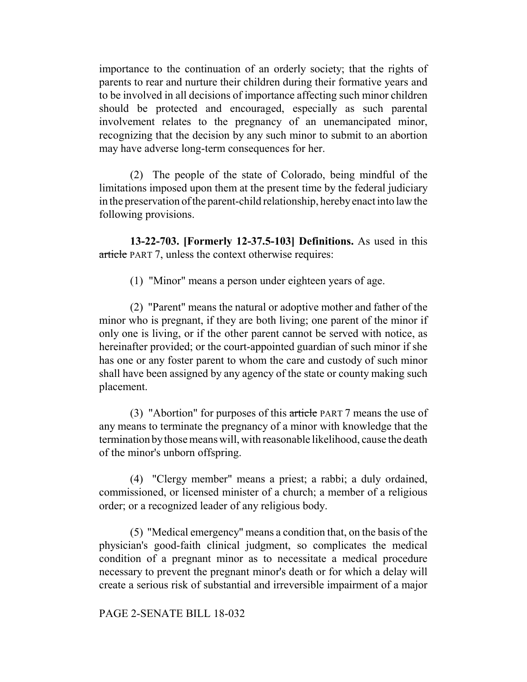importance to the continuation of an orderly society; that the rights of parents to rear and nurture their children during their formative years and to be involved in all decisions of importance affecting such minor children should be protected and encouraged, especially as such parental involvement relates to the pregnancy of an unemancipated minor, recognizing that the decision by any such minor to submit to an abortion may have adverse long-term consequences for her.

(2) The people of the state of Colorado, being mindful of the limitations imposed upon them at the present time by the federal judiciary in the preservation of the parent-child relationship, hereby enact into law the following provisions.

**13-22-703. [Formerly 12-37.5-103] Definitions.** As used in this article PART 7, unless the context otherwise requires:

(1) "Minor" means a person under eighteen years of age.

(2) "Parent" means the natural or adoptive mother and father of the minor who is pregnant, if they are both living; one parent of the minor if only one is living, or if the other parent cannot be served with notice, as hereinafter provided; or the court-appointed guardian of such minor if she has one or any foster parent to whom the care and custody of such minor shall have been assigned by any agency of the state or county making such placement.

(3) "Abortion" for purposes of this article PART 7 means the use of any means to terminate the pregnancy of a minor with knowledge that the termination by those means will, with reasonable likelihood, cause the death of the minor's unborn offspring.

(4) "Clergy member" means a priest; a rabbi; a duly ordained, commissioned, or licensed minister of a church; a member of a religious order; or a recognized leader of any religious body.

(5) "Medical emergency" means a condition that, on the basis of the physician's good-faith clinical judgment, so complicates the medical condition of a pregnant minor as to necessitate a medical procedure necessary to prevent the pregnant minor's death or for which a delay will create a serious risk of substantial and irreversible impairment of a major

## PAGE 2-SENATE BILL 18-032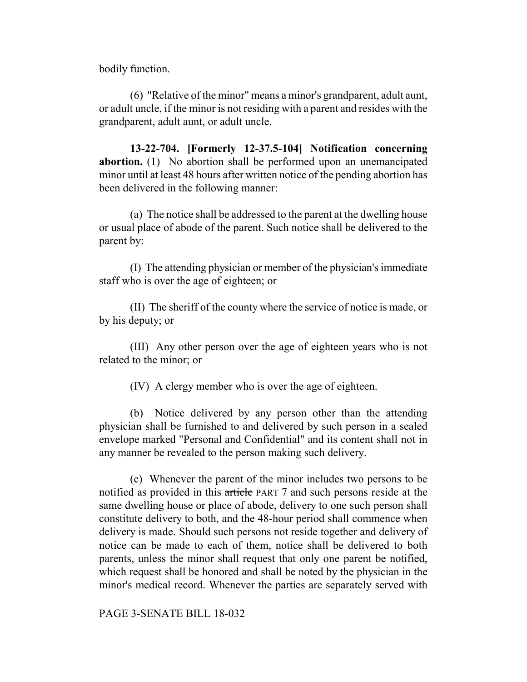bodily function.

(6) "Relative of the minor" means a minor's grandparent, adult aunt, or adult uncle, if the minor is not residing with a parent and resides with the grandparent, adult aunt, or adult uncle.

**13-22-704. [Formerly 12-37.5-104] Notification concerning abortion.** (1) No abortion shall be performed upon an unemancipated minor until at least 48 hours after written notice of the pending abortion has been delivered in the following manner:

(a) The notice shall be addressed to the parent at the dwelling house or usual place of abode of the parent. Such notice shall be delivered to the parent by:

(I) The attending physician or member of the physician's immediate staff who is over the age of eighteen; or

(II) The sheriff of the county where the service of notice is made, or by his deputy; or

(III) Any other person over the age of eighteen years who is not related to the minor; or

(IV) A clergy member who is over the age of eighteen.

(b) Notice delivered by any person other than the attending physician shall be furnished to and delivered by such person in a sealed envelope marked "Personal and Confidential" and its content shall not in any manner be revealed to the person making such delivery.

(c) Whenever the parent of the minor includes two persons to be notified as provided in this article PART 7 and such persons reside at the same dwelling house or place of abode, delivery to one such person shall constitute delivery to both, and the 48-hour period shall commence when delivery is made. Should such persons not reside together and delivery of notice can be made to each of them, notice shall be delivered to both parents, unless the minor shall request that only one parent be notified, which request shall be honored and shall be noted by the physician in the minor's medical record. Whenever the parties are separately served with

PAGE 3-SENATE BILL 18-032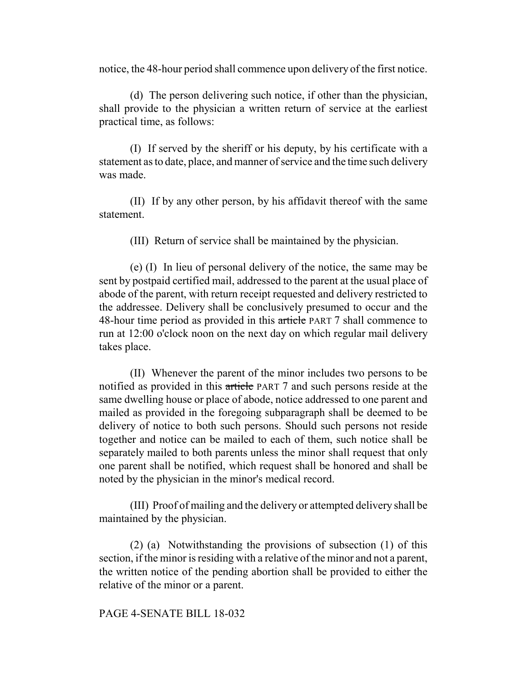notice, the 48-hour period shall commence upon delivery of the first notice.

(d) The person delivering such notice, if other than the physician, shall provide to the physician a written return of service at the earliest practical time, as follows:

(I) If served by the sheriff or his deputy, by his certificate with a statement as to date, place, and manner of service and the time such delivery was made.

(II) If by any other person, by his affidavit thereof with the same statement.

(III) Return of service shall be maintained by the physician.

(e) (I) In lieu of personal delivery of the notice, the same may be sent by postpaid certified mail, addressed to the parent at the usual place of abode of the parent, with return receipt requested and delivery restricted to the addressee. Delivery shall be conclusively presumed to occur and the 48-hour time period as provided in this article PART 7 shall commence to run at 12:00 o'clock noon on the next day on which regular mail delivery takes place.

(II) Whenever the parent of the minor includes two persons to be notified as provided in this article PART 7 and such persons reside at the same dwelling house or place of abode, notice addressed to one parent and mailed as provided in the foregoing subparagraph shall be deemed to be delivery of notice to both such persons. Should such persons not reside together and notice can be mailed to each of them, such notice shall be separately mailed to both parents unless the minor shall request that only one parent shall be notified, which request shall be honored and shall be noted by the physician in the minor's medical record.

(III) Proof of mailing and the delivery or attempted delivery shall be maintained by the physician.

(2) (a) Notwithstanding the provisions of subsection (1) of this section, if the minor is residing with a relative of the minor and not a parent, the written notice of the pending abortion shall be provided to either the relative of the minor or a parent.

#### PAGE 4-SENATE BILL 18-032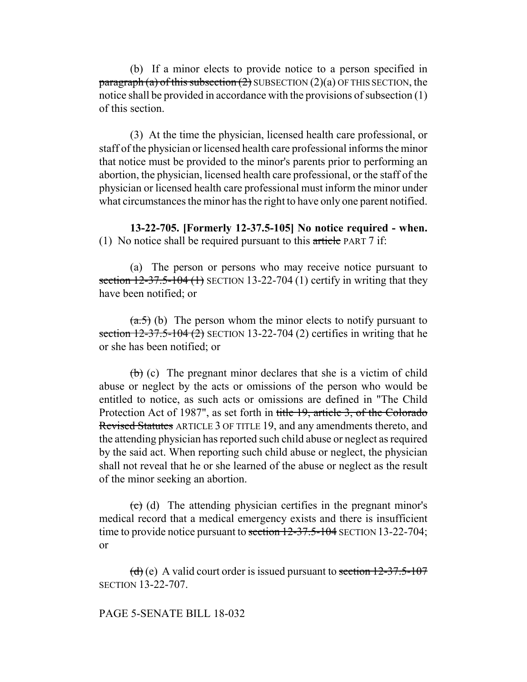(b) If a minor elects to provide notice to a person specified in paragraph (a) of this subsection  $(2)$  SUBSECTION  $(2)(a)$  OF THIS SECTION, the notice shall be provided in accordance with the provisions of subsection (1) of this section.

(3) At the time the physician, licensed health care professional, or staff of the physician or licensed health care professional informs the minor that notice must be provided to the minor's parents prior to performing an abortion, the physician, licensed health care professional, or the staff of the physician or licensed health care professional must inform the minor under what circumstances the minor has the right to have only one parent notified.

**13-22-705. [Formerly 12-37.5-105] No notice required - when.** (1) No notice shall be required pursuant to this article PART 7 if:

(a) The person or persons who may receive notice pursuant to section  $12-37.5-104$  (1) SECTION 13-22-704 (1) certify in writing that they have been notified; or

 $(a.5)$  (b) The person whom the minor elects to notify pursuant to section  $12-37.5-104(2)$  SECTION 13-22-704 (2) certifies in writing that he or she has been notified; or

 $(b)$  (c) The pregnant minor declares that she is a victim of child abuse or neglect by the acts or omissions of the person who would be entitled to notice, as such acts or omissions are defined in "The Child Protection Act of 1987", as set forth in title 19, article 3, of the Colorado Revised Statutes ARTICLE 3 OF TITLE 19, and any amendments thereto, and the attending physician has reported such child abuse or neglect as required by the said act. When reporting such child abuse or neglect, the physician shall not reveal that he or she learned of the abuse or neglect as the result of the minor seeking an abortion.

(c) (d) The attending physician certifies in the pregnant minor's medical record that a medical emergency exists and there is insufficient time to provide notice pursuant to section 12-37.5-104 SECTION 13-22-704; or

(d) (e) A valid court order is issued pursuant to section  $12-37.5-107$ SECTION 13-22-707.

#### PAGE 5-SENATE BILL 18-032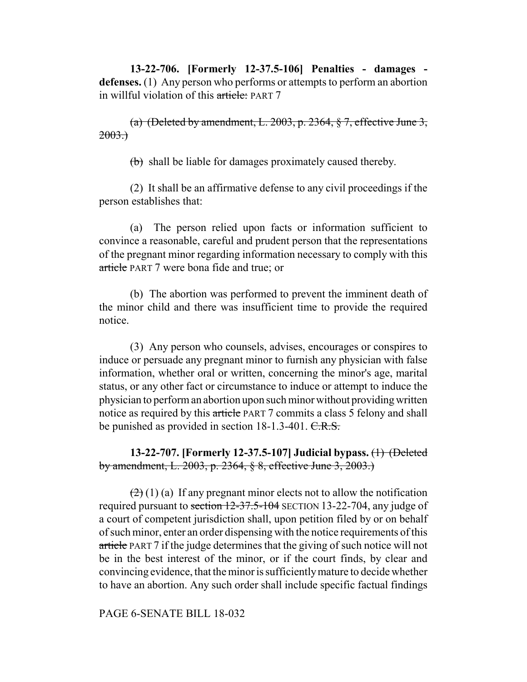**13-22-706. [Formerly 12-37.5-106] Penalties - damages defenses.** (1) Any person who performs or attempts to perform an abortion in willful violation of this article: PART 7

(a) (Deleted by amendment, L. 2003, p. 2364,  $\S$  7, effective June 3,  $2003.$ 

(b) shall be liable for damages proximately caused thereby.

(2) It shall be an affirmative defense to any civil proceedings if the person establishes that:

(a) The person relied upon facts or information sufficient to convince a reasonable, careful and prudent person that the representations of the pregnant minor regarding information necessary to comply with this article PART 7 were bona fide and true; or

(b) The abortion was performed to prevent the imminent death of the minor child and there was insufficient time to provide the required notice.

(3) Any person who counsels, advises, encourages or conspires to induce or persuade any pregnant minor to furnish any physician with false information, whether oral or written, concerning the minor's age, marital status, or any other fact or circumstance to induce or attempt to induce the physician to perform an abortion upon such minor without providing written notice as required by this article PART 7 commits a class 5 felony and shall be punished as provided in section 18-1.3-401. C.R.S.

**13-22-707. [Formerly 12-37.5-107] Judicial bypass.** (1) (Deleted by amendment, L. 2003, p. 2364, § 8, effective June 3, 2003.)

 $(2)(1)$  (a) If any pregnant minor elects not to allow the notification required pursuant to section 12-37.5-104 SECTION 13-22-704, any judge of a court of competent jurisdiction shall, upon petition filed by or on behalf of such minor, enter an order dispensing with the notice requirements of this article PART 7 if the judge determines that the giving of such notice will not be in the best interest of the minor, or if the court finds, by clear and convincing evidence, that the minor is sufficiently mature to decide whether to have an abortion. Any such order shall include specific factual findings

#### PAGE 6-SENATE BILL 18-032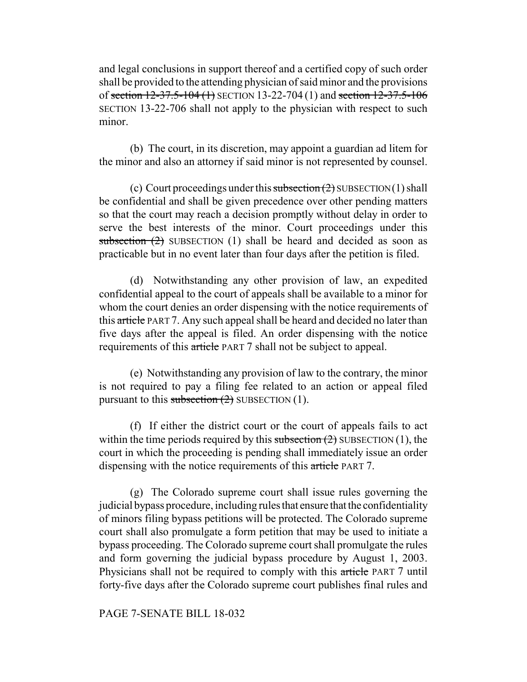and legal conclusions in support thereof and a certified copy of such order shall be provided to the attending physician of said minor and the provisions of section 12-37.5-104 (1) SECTION 13-22-704 (1) and section 12-37.5-106 SECTION 13-22-706 shall not apply to the physician with respect to such minor.

(b) The court, in its discretion, may appoint a guardian ad litem for the minor and also an attorney if said minor is not represented by counsel.

(c) Court proceedings under this subsection  $(2)$  SUBSECTION (1) shall be confidential and shall be given precedence over other pending matters so that the court may reach a decision promptly without delay in order to serve the best interests of the minor. Court proceedings under this subsection  $(2)$  SUBSECTION  $(1)$  shall be heard and decided as soon as practicable but in no event later than four days after the petition is filed.

(d) Notwithstanding any other provision of law, an expedited confidential appeal to the court of appeals shall be available to a minor for whom the court denies an order dispensing with the notice requirements of this article PART 7. Any such appeal shall be heard and decided no later than five days after the appeal is filed. An order dispensing with the notice requirements of this article PART 7 shall not be subject to appeal.

(e) Notwithstanding any provision of law to the contrary, the minor is not required to pay a filing fee related to an action or appeal filed pursuant to this subsection  $(2)$  SUBSECTION  $(1)$ .

(f) If either the district court or the court of appeals fails to act within the time periods required by this subsection  $(2)$  SUBSECTION  $(1)$ , the court in which the proceeding is pending shall immediately issue an order dispensing with the notice requirements of this article PART 7.

(g) The Colorado supreme court shall issue rules governing the judicial bypass procedure, including rules that ensure that the confidentiality of minors filing bypass petitions will be protected. The Colorado supreme court shall also promulgate a form petition that may be used to initiate a bypass proceeding. The Colorado supreme court shall promulgate the rules and form governing the judicial bypass procedure by August 1, 2003. Physicians shall not be required to comply with this article PART 7 until forty-five days after the Colorado supreme court publishes final rules and

## PAGE 7-SENATE BILL 18-032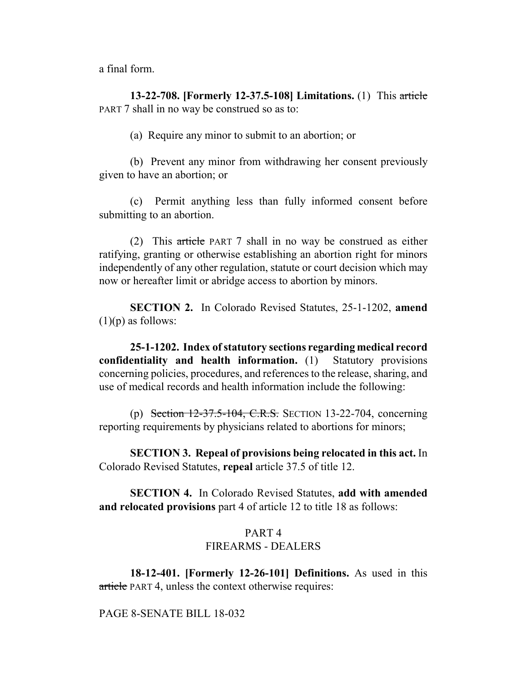a final form.

**13-22-708. [Formerly 12-37.5-108] Limitations.** (1) This article PART 7 shall in no way be construed so as to:

(a) Require any minor to submit to an abortion; or

(b) Prevent any minor from withdrawing her consent previously given to have an abortion; or

(c) Permit anything less than fully informed consent before submitting to an abortion.

(2) This article PART 7 shall in no way be construed as either ratifying, granting or otherwise establishing an abortion right for minors independently of any other regulation, statute or court decision which may now or hereafter limit or abridge access to abortion by minors.

**SECTION 2.** In Colorado Revised Statutes, 25-1-1202, **amend**  $(1)(p)$  as follows:

**25-1-1202. Index of statutory sections regarding medical record confidentiality and health information.** (1) Statutory provisions concerning policies, procedures, and references to the release, sharing, and use of medical records and health information include the following:

(p) Section 12-37.5-104, C.R.S. SECTION 13-22-704, concerning reporting requirements by physicians related to abortions for minors;

**SECTION 3. Repeal of provisions being relocated in this act.** In Colorado Revised Statutes, **repeal** article 37.5 of title 12.

**SECTION 4.** In Colorado Revised Statutes, **add with amended and relocated provisions** part 4 of article 12 to title 18 as follows:

# PART 4 FIREARMS - DEALERS

**18-12-401. [Formerly 12-26-101] Definitions.** As used in this article PART 4, unless the context otherwise requires:

## PAGE 8-SENATE BILL 18-032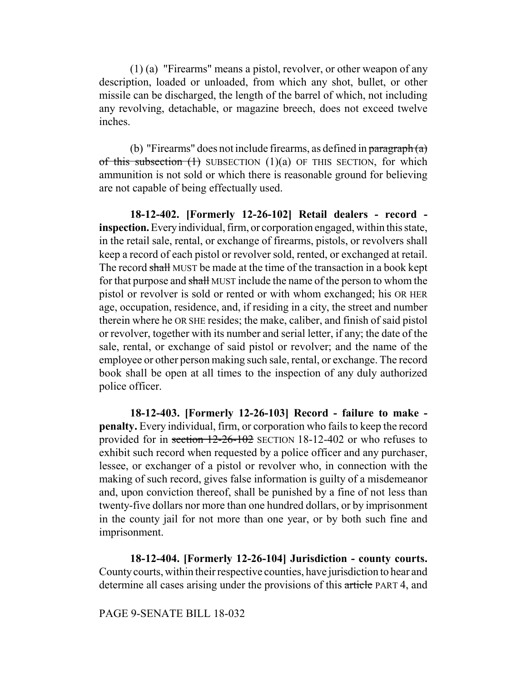(1) (a) "Firearms" means a pistol, revolver, or other weapon of any description, loaded or unloaded, from which any shot, bullet, or other missile can be discharged, the length of the barrel of which, not including any revolving, detachable, or magazine breech, does not exceed twelve inches.

(b) "Firearms" does not include firearms, as defined in  $\frac{\partial^2 f}{\partial x^2}$ of this subsection  $(1)$  SUBSECTION  $(1)(a)$  OF THIS SECTION, for which ammunition is not sold or which there is reasonable ground for believing are not capable of being effectually used.

**18-12-402. [Formerly 12-26-102] Retail dealers - record inspection.** Every individual, firm, or corporation engaged, within this state, in the retail sale, rental, or exchange of firearms, pistols, or revolvers shall keep a record of each pistol or revolver sold, rented, or exchanged at retail. The record shall MUST be made at the time of the transaction in a book kept for that purpose and shall MUST include the name of the person to whom the pistol or revolver is sold or rented or with whom exchanged; his OR HER age, occupation, residence, and, if residing in a city, the street and number therein where he OR SHE resides; the make, caliber, and finish of said pistol or revolver, together with its number and serial letter, if any; the date of the sale, rental, or exchange of said pistol or revolver; and the name of the employee or other person making such sale, rental, or exchange. The record book shall be open at all times to the inspection of any duly authorized police officer.

**18-12-403. [Formerly 12-26-103] Record - failure to make penalty.** Every individual, firm, or corporation who fails to keep the record provided for in section 12-26-102 SECTION 18-12-402 or who refuses to exhibit such record when requested by a police officer and any purchaser, lessee, or exchanger of a pistol or revolver who, in connection with the making of such record, gives false information is guilty of a misdemeanor and, upon conviction thereof, shall be punished by a fine of not less than twenty-five dollars nor more than one hundred dollars, or by imprisonment in the county jail for not more than one year, or by both such fine and imprisonment.

**18-12-404. [Formerly 12-26-104] Jurisdiction - county courts.** County courts, within their respective counties, have jurisdiction to hear and determine all cases arising under the provisions of this article PART 4, and

### PAGE 9-SENATE BILL 18-032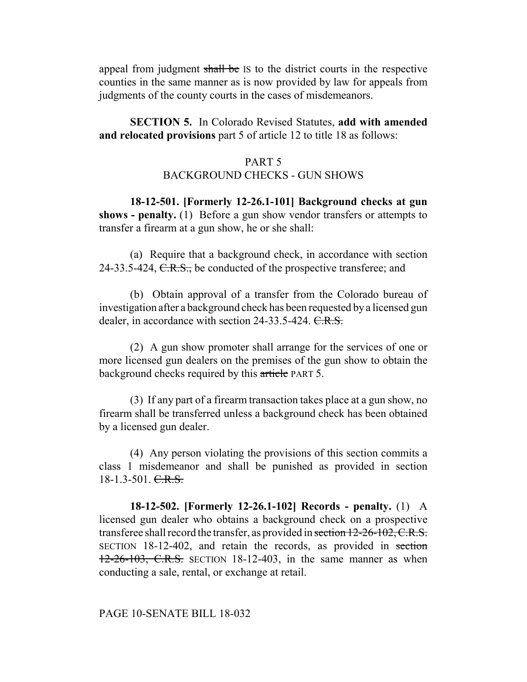appeal from judgment shall be IS to the district courts in the respective counties in the same manner as is now provided by law for appeals from judgments of the county courts in the cases of misdemeanors.

**SECTION 5.** In Colorado Revised Statutes, **add with amended and relocated provisions** part 5 of article 12 to title 18 as follows:

#### PART 5

### BACKGROUND CHECKS - GUN SHOWS

**18-12-501. [Formerly 12-26.1-101] Background checks at gun shows - penalty.** (1) Before a gun show vendor transfers or attempts to transfer a firearm at a gun show, he or she shall:

(a) Require that a background check, in accordance with section 24-33.5-424,  $C.R.S.,$  be conducted of the prospective transferee; and

(b) Obtain approval of a transfer from the Colorado bureau of investigation after a background check has been requested by a licensed gun dealer, in accordance with section 24-33.5-424. C.R.S.

(2) A gun show promoter shall arrange for the services of one or more licensed gun dealers on the premises of the gun show to obtain the background checks required by this article PART 5.

(3) If any part of a firearm transaction takes place at a gun show, no firearm shall be transferred unless a background check has been obtained by a licensed gun dealer.

(4) Any person violating the provisions of this section commits a class 1 misdemeanor and shall be punished as provided in section  $18-1.3-501.$  C.R.S.

**18-12-502. [Formerly 12-26.1-102] Records - penalty.** (1) A licensed gun dealer who obtains a background check on a prospective transferee shall record the transfer, as provided in section 12-26-102, C.R.S. SECTION 18-12-402, and retain the records, as provided in section  $12-26-103$ , C.R.S. SECTION 18-12-403, in the same manner as when conducting a sale, rental, or exchange at retail.

#### PAGE 10-SENATE BILL 18-032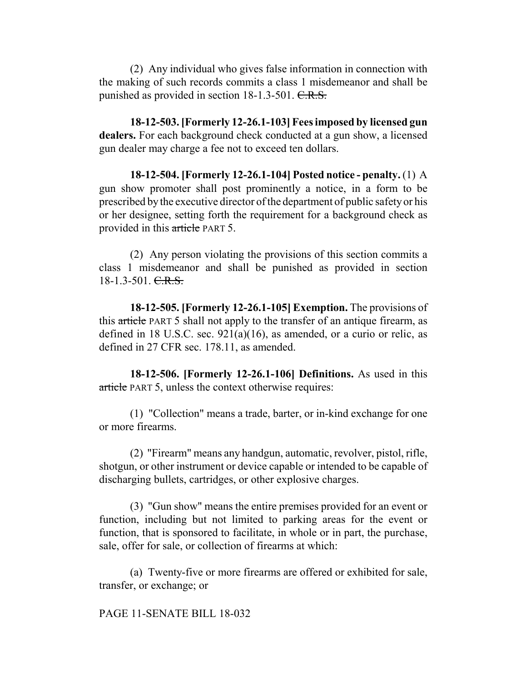(2) Any individual who gives false information in connection with the making of such records commits a class 1 misdemeanor and shall be punished as provided in section 18-1.3-501. C.R.S.

**18-12-503. [Formerly 12-26.1-103] Fees imposed by licensed gun dealers.** For each background check conducted at a gun show, a licensed gun dealer may charge a fee not to exceed ten dollars.

**18-12-504. [Formerly 12-26.1-104] Posted notice - penalty.** (1) A gun show promoter shall post prominently a notice, in a form to be prescribed by the executive director of the department of public safety or his or her designee, setting forth the requirement for a background check as provided in this article PART 5.

(2) Any person violating the provisions of this section commits a class 1 misdemeanor and shall be punished as provided in section 18-1.3-501. C.R.S.

**18-12-505. [Formerly 12-26.1-105] Exemption.** The provisions of this article PART 5 shall not apply to the transfer of an antique firearm, as defined in 18 U.S.C. sec. 921(a)(16), as amended, or a curio or relic, as defined in 27 CFR sec. 178.11, as amended.

**18-12-506. [Formerly 12-26.1-106] Definitions.** As used in this article PART 5, unless the context otherwise requires:

(1) "Collection" means a trade, barter, or in-kind exchange for one or more firearms.

(2) "Firearm" means any handgun, automatic, revolver, pistol, rifle, shotgun, or other instrument or device capable or intended to be capable of discharging bullets, cartridges, or other explosive charges.

(3) "Gun show" means the entire premises provided for an event or function, including but not limited to parking areas for the event or function, that is sponsored to facilitate, in whole or in part, the purchase, sale, offer for sale, or collection of firearms at which:

(a) Twenty-five or more firearms are offered or exhibited for sale, transfer, or exchange; or

#### PAGE 11-SENATE BILL 18-032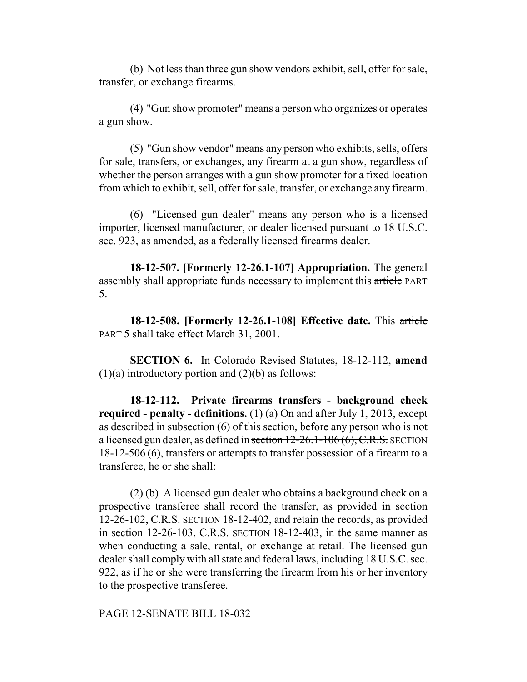(b) Not less than three gun show vendors exhibit, sell, offer for sale, transfer, or exchange firearms.

(4) "Gun show promoter" means a person who organizes or operates a gun show.

(5) "Gun show vendor" means any person who exhibits, sells, offers for sale, transfers, or exchanges, any firearm at a gun show, regardless of whether the person arranges with a gun show promoter for a fixed location from which to exhibit, sell, offer for sale, transfer, or exchange any firearm.

(6) "Licensed gun dealer" means any person who is a licensed importer, licensed manufacturer, or dealer licensed pursuant to 18 U.S.C. sec. 923, as amended, as a federally licensed firearms dealer.

**18-12-507. [Formerly 12-26.1-107] Appropriation.** The general assembly shall appropriate funds necessary to implement this article PART 5.

**18-12-508. [Formerly 12-26.1-108] Effective date.** This article PART 5 shall take effect March 31, 2001.

**SECTION 6.** In Colorado Revised Statutes, 18-12-112, **amend**  $(1)(a)$  introductory portion and  $(2)(b)$  as follows:

**18-12-112. Private firearms transfers - background check required - penalty - definitions.** (1) (a) On and after July 1, 2013, except as described in subsection (6) of this section, before any person who is not a licensed gun dealer, as defined in section  $12-26.1-106(6)$ , C.R.S. SECTION 18-12-506 (6), transfers or attempts to transfer possession of a firearm to a transferee, he or she shall:

(2) (b) A licensed gun dealer who obtains a background check on a prospective transferee shall record the transfer, as provided in section 12-26-102, C.R.S. SECTION 18-12-402, and retain the records, as provided in section 12-26-103, C.R.S. SECTION 18-12-403, in the same manner as when conducting a sale, rental, or exchange at retail. The licensed gun dealer shall comply with all state and federal laws, including 18 U.S.C. sec. 922, as if he or she were transferring the firearm from his or her inventory to the prospective transferee.

PAGE 12-SENATE BILL 18-032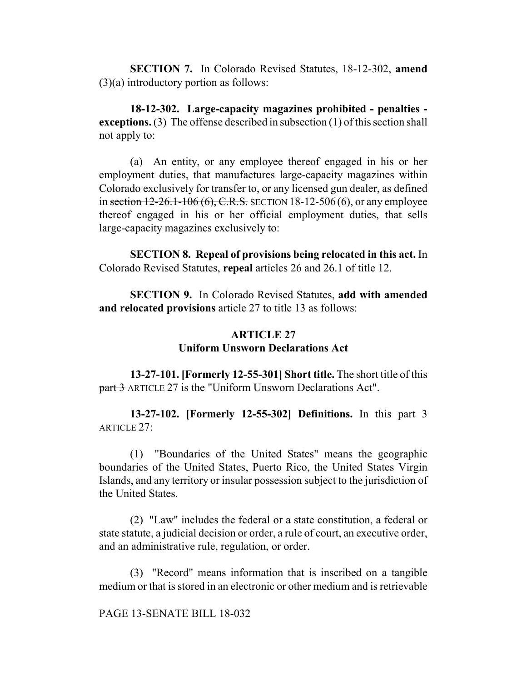**SECTION 7.** In Colorado Revised Statutes, 18-12-302, **amend** (3)(a) introductory portion as follows:

**18-12-302. Large-capacity magazines prohibited - penalties exceptions.** (3) The offense described in subsection (1) of this section shall not apply to:

(a) An entity, or any employee thereof engaged in his or her employment duties, that manufactures large-capacity magazines within Colorado exclusively for transfer to, or any licensed gun dealer, as defined in section  $12-26.1-106(6)$ , C.R.S. SECTION 18-12-506(6), or any employee thereof engaged in his or her official employment duties, that sells large-capacity magazines exclusively to:

**SECTION 8. Repeal of provisions being relocated in this act.** In Colorado Revised Statutes, **repeal** articles 26 and 26.1 of title 12.

**SECTION 9.** In Colorado Revised Statutes, **add with amended and relocated provisions** article 27 to title 13 as follows:

# **ARTICLE 27 Uniform Unsworn Declarations Act**

**13-27-101. [Formerly 12-55-301] Short title.** The short title of this **part 3** ARTICLE 27 is the "Uniform Unsworn Declarations Act".

**13-27-102. [Formerly 12-55-302] Definitions.** In this part 3 ARTICLE 27:

(1) "Boundaries of the United States" means the geographic boundaries of the United States, Puerto Rico, the United States Virgin Islands, and any territory or insular possession subject to the jurisdiction of the United States.

(2) "Law" includes the federal or a state constitution, a federal or state statute, a judicial decision or order, a rule of court, an executive order, and an administrative rule, regulation, or order.

(3) "Record" means information that is inscribed on a tangible medium or that is stored in an electronic or other medium and is retrievable

### PAGE 13-SENATE BILL 18-032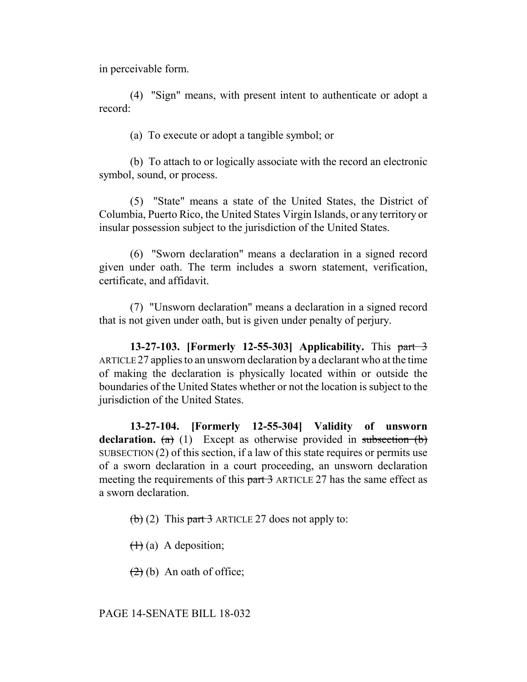in perceivable form.

(4) "Sign" means, with present intent to authenticate or adopt a record:

(a) To execute or adopt a tangible symbol; or

(b) To attach to or logically associate with the record an electronic symbol, sound, or process.

(5) "State" means a state of the United States, the District of Columbia, Puerto Rico, the United States Virgin Islands, or any territory or insular possession subject to the jurisdiction of the United States.

(6) "Sworn declaration" means a declaration in a signed record given under oath. The term includes a sworn statement, verification, certificate, and affidavit.

(7) "Unsworn declaration" means a declaration in a signed record that is not given under oath, but is given under penalty of perjury.

**13-27-103. [Formerly 12-55-303] Applicability.** This part 3 ARTICLE 27 applies to an unsworn declaration by a declarant who at the time of making the declaration is physically located within or outside the boundaries of the United States whether or not the location is subject to the jurisdiction of the United States.

**13-27-104. [Formerly 12-55-304] Validity of unsworn declaration.** (a) (1) Except as otherwise provided in subsection (b) SUBSECTION (2) of this section, if a law of this state requires or permits use of a sworn declaration in a court proceeding, an unsworn declaration meeting the requirements of this part 3 ARTICLE 27 has the same effect as a sworn declaration.

 $(b)$  (2) This part 3 ARTICLE 27 does not apply to:

 $(1)$  (a) A deposition;

 $(2)$  (b) An oath of office;

PAGE 14-SENATE BILL 18-032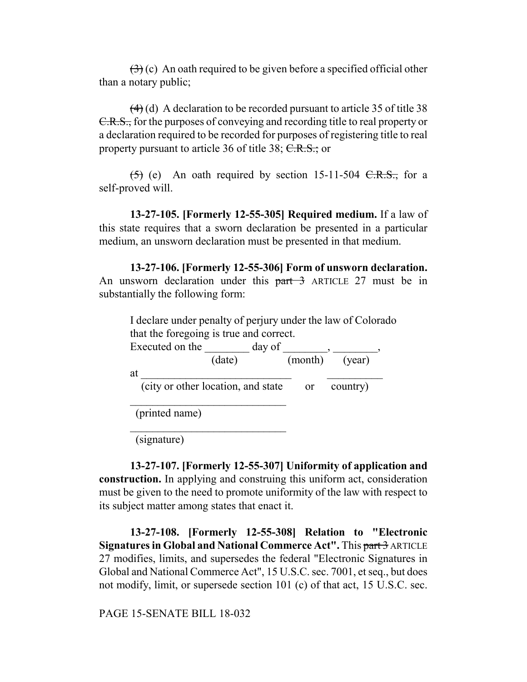$\left(\frac{1}{2}\right)$  (c) An oath required to be given before a specified official other than a notary public;

 $(4)$  (d) A declaration to be recorded pursuant to article 35 of title 38 C.R.S., for the purposes of conveying and recording title to real property or a declaration required to be recorded for purposes of registering title to real property pursuant to article 36 of title 38; C.R.S.; or

 $(5)$  (e) An oath required by section 15-11-504  $C.R.S.,$  for a self-proved will.

**13-27-105. [Formerly 12-55-305] Required medium.** If a law of this state requires that a sworn declaration be presented in a particular medium, an unsworn declaration must be presented in that medium.

**13-27-106. [Formerly 12-55-306] Form of unsworn declaration.** An unsworn declaration under this part 3 ARTICLE 27 must be in substantially the following form:

I declare under penalty of perjury under the law of Colorado that the foregoing is true and correct.

| Executed on the                     |        | day of |               |          |
|-------------------------------------|--------|--------|---------------|----------|
|                                     | (date) |        | (month)       | (year)   |
| at                                  |        |        |               |          |
| (city or other location, and state) |        |        | <sub>or</sub> | country) |
|                                     |        |        |               |          |
| (printed name)                      |        |        |               |          |
|                                     |        |        |               |          |

(signature)

**13-27-107. [Formerly 12-55-307] Uniformity of application and construction.** In applying and construing this uniform act, consideration must be given to the need to promote uniformity of the law with respect to its subject matter among states that enact it.

**13-27-108. [Formerly 12-55-308] Relation to "Electronic Signatures in Global and National Commerce Act".** This part 3 ARTICLE 27 modifies, limits, and supersedes the federal "Electronic Signatures in Global and National Commerce Act", 15 U.S.C. sec. 7001, et seq., but does not modify, limit, or supersede section 101 (c) of that act, 15 U.S.C. sec.

PAGE 15-SENATE BILL 18-032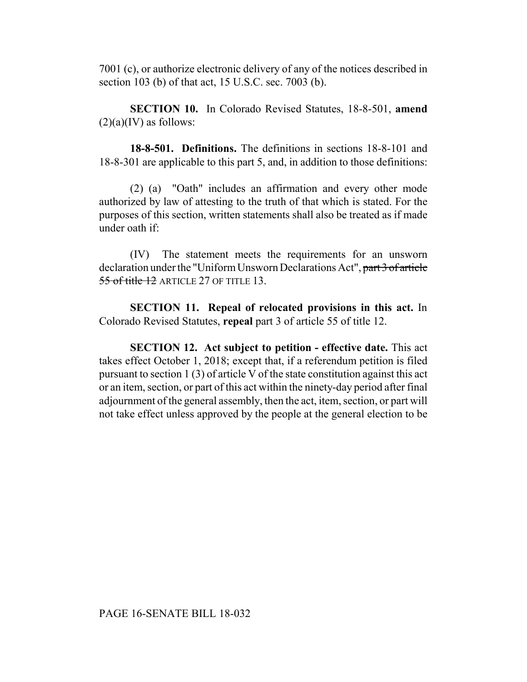7001 (c), or authorize electronic delivery of any of the notices described in section 103 (b) of that act, 15 U.S.C. sec. 7003 (b).

**SECTION 10.** In Colorado Revised Statutes, 18-8-501, **amend**  $(2)(a)(IV)$  as follows:

**18-8-501. Definitions.** The definitions in sections 18-8-101 and 18-8-301 are applicable to this part 5, and, in addition to those definitions:

(2) (a) "Oath" includes an affirmation and every other mode authorized by law of attesting to the truth of that which is stated. For the purposes of this section, written statements shall also be treated as if made under oath if:

(IV) The statement meets the requirements for an unsworn declaration under the "Uniform Unsworn Declarations Act", part 3 of article 55 of title 12 ARTICLE 27 OF TITLE 13.

**SECTION 11. Repeal of relocated provisions in this act.** In Colorado Revised Statutes, **repeal** part 3 of article 55 of title 12.

**SECTION 12. Act subject to petition - effective date.** This act takes effect October 1, 2018; except that, if a referendum petition is filed pursuant to section 1 (3) of article V of the state constitution against this act or an item, section, or part of this act within the ninety-day period after final adjournment of the general assembly, then the act, item, section, or part will not take effect unless approved by the people at the general election to be